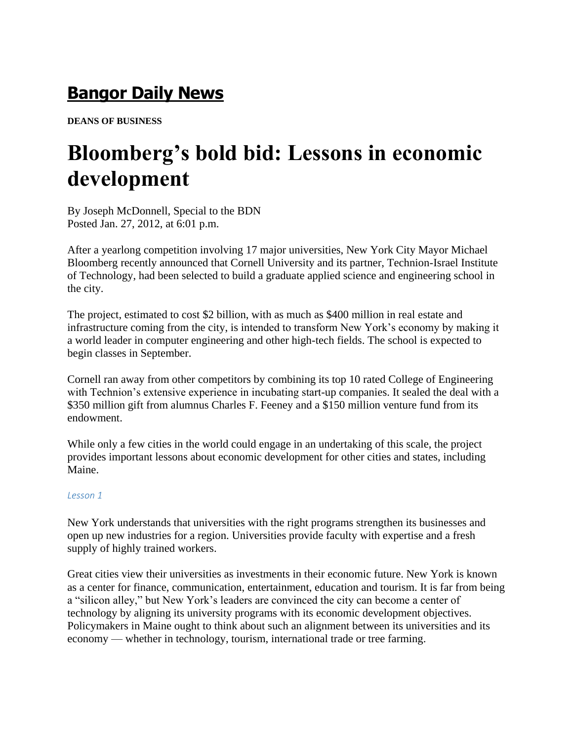## **[Bangor Daily News](http://bangordailynews.com/?ref=masthead_text)**

**DEANS OF BUSINESS**

# **Bloomberg's bold bid: Lessons in economic development**

By Joseph McDonnell, Special to the BDN Posted Jan. 27, 2012, at 6:01 p.m.

After a yearlong competition involving 17 major universities, New York City Mayor Michael Bloomberg recently announced that Cornell University and its partner, Technion-Israel Institute of Technology, had been selected to build a graduate applied science and engineering school in the city.

The project, estimated to cost \$2 billion, with as much as \$400 million in real estate and infrastructure coming from the city, is intended to transform New York's economy by making it a world leader in computer engineering and other high-tech fields. The school is expected to begin classes in September.

Cornell ran away from other competitors by combining its top 10 rated College of Engineering with Technion's extensive experience in incubating start-up companies. It sealed the deal with a \$350 million gift from alumnus Charles F. Feeney and a \$150 million venture fund from its endowment.

While only a few cities in the world could engage in an undertaking of this scale, the project provides important lessons about economic development for other cities and states, including Maine.

### *Lesson 1*

New York understands that universities with the right programs strengthen its businesses and open up new industries for a region. Universities provide faculty with expertise and a fresh supply of highly trained workers.

Great cities view their universities as investments in their economic future. New York is known as a center for finance, communication, entertainment, education and tourism. It is far from being a "silicon alley," but New York's leaders are convinced the city can become a center of technology by aligning its university programs with its economic development objectives. Policymakers in Maine ought to think about such an alignment between its universities and its economy — whether in technology, tourism, international trade or tree farming.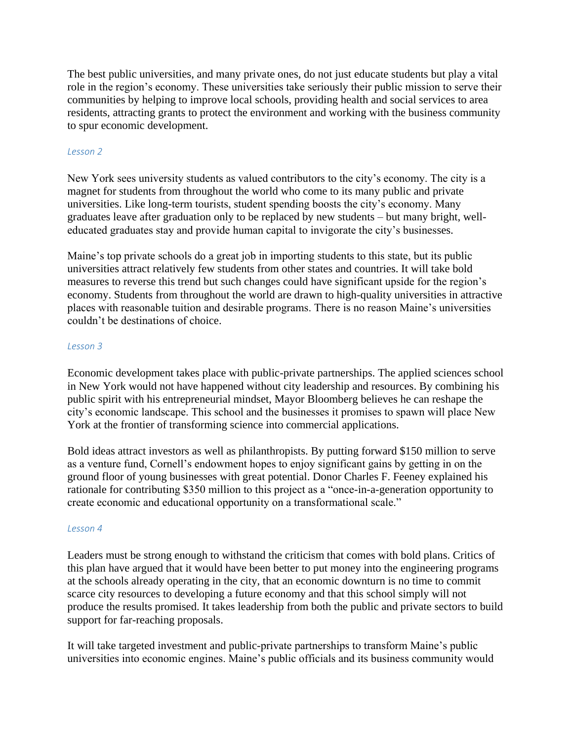The best public universities, and many private ones, do not just educate students but play a vital role in the region's economy. These universities take seriously their public mission to serve their communities by helping to improve local schools, providing health and social services to area residents, attracting grants to protect the environment and working with the business community to spur economic development.

### *Lesson 2*

New York sees university students as valued contributors to the city's economy. The city is a magnet for students from throughout the world who come to its many public and private universities. Like long-term tourists, student spending boosts the city's economy. Many graduates leave after graduation only to be replaced by new students – but many bright, welleducated graduates stay and provide human capital to invigorate the city's businesses.

Maine's top private schools do a great job in importing students to this state, but its public universities attract relatively few students from other states and countries. It will take bold measures to reverse this trend but such changes could have significant upside for the region's economy. Students from throughout the world are drawn to high-quality universities in attractive places with reasonable tuition and desirable programs. There is no reason Maine's universities couldn't be destinations of choice.

#### *Lesson 3*

Economic development takes place with public-private partnerships. The applied sciences school in New York would not have happened without city leadership and resources. By combining his public spirit with his entrepreneurial mindset, Mayor Bloomberg believes he can reshape the city's economic landscape. This school and the businesses it promises to spawn will place New York at the frontier of transforming science into commercial applications.

Bold ideas attract investors as well as philanthropists. By putting forward \$150 million to serve as a venture fund, Cornell's endowment hopes to enjoy significant gains by getting in on the ground floor of young businesses with great potential. Donor Charles F. Feeney explained his rationale for contributing \$350 million to this project as a "once-in-a-generation opportunity to create economic and educational opportunity on a transformational scale."

#### *Lesson 4*

Leaders must be strong enough to withstand the criticism that comes with bold plans. Critics of this plan have argued that it would have been better to put money into the engineering programs at the schools already operating in the city, that an economic downturn is no time to commit scarce city resources to developing a future economy and that this school simply will not produce the results promised. It takes leadership from both the public and private sectors to build support for far-reaching proposals.

It will take targeted investment and public-private partnerships to transform Maine's public universities into economic engines. Maine's public officials and its business community would